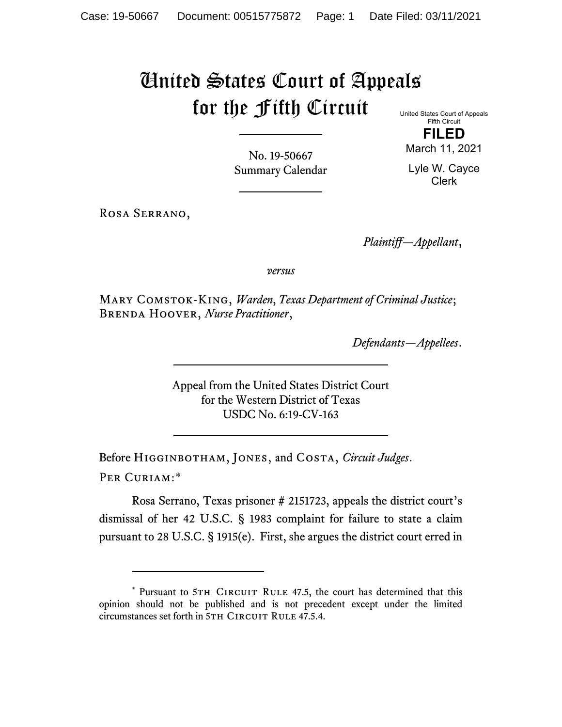## United States Court of Appeals for the Fifth Circuit

United States Court of Appeals Fifth Circuit

**FILED** March 11, 2021

No. 19-50667 Summary Calendar

Lyle W. Cayce Clerk

Rosa Serrano,

*Plaintiff—Appellant*,

*versus*

Mary Comstok-King, *Warden*, *Texas Department of Criminal Justice*; Brenda Hoover, *Nurse Practitioner*,

*Defendants—Appellees*.

Appeal from the United States District Court for the Western District of Texas USDC No. 6:19-CV-163

Before Higginbotham, Jones, and Costa, *Circuit Judges*. Per Curiam:[\\*](#page-0-0)

Rosa Serrano, Texas prisoner # 2151723, appeals the district court's dismissal of her 42 U.S.C. § 1983 complaint for failure to state a claim pursuant to 28 U.S.C. § 1915(e). First, she argues the district court erred in

<span id="page-0-0"></span><sup>\*</sup> Pursuant to 5TH CIRCUIT RULE 47.5, the court has determined that this opinion should not be published and is not precedent except under the limited circumstances set forth in 5TH CIRCUIT RULE 47.5.4.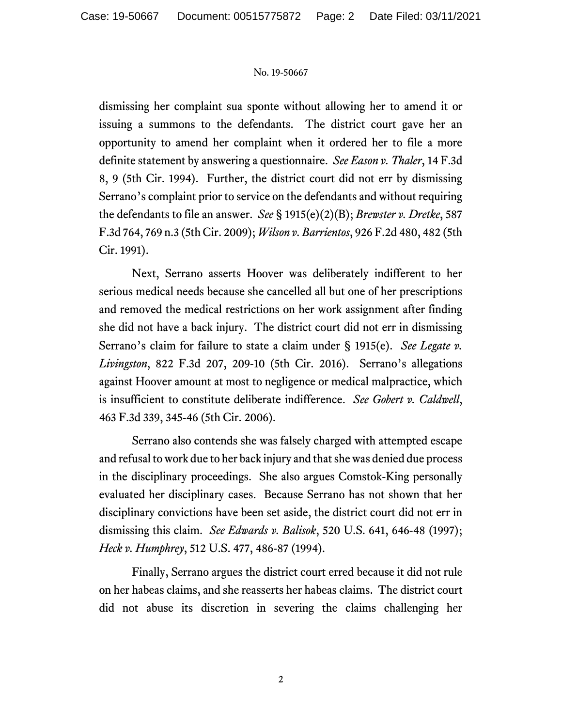## No. 19-50667

dismissing her complaint sua sponte without allowing her to amend it or issuing a summons to the defendants. The district court gave her an opportunity to amend her complaint when it ordered her to file a more definite statement by answering a questionnaire. *See Eason v. Thaler*, 14 F.3d 8, 9 (5th Cir. 1994). Further, the district court did not err by dismissing Serrano's complaint prior to service on the defendants and without requiring the defendants to file an answer. *See* § 1915(e)(2)(B); *Brewster v. Dretke*, 587 F.3d 764, 769 n.3 (5th Cir. 2009); *Wilson v. Barrientos*, 926 F.2d 480, 482 (5th Cir. 1991).

Next, Serrano asserts Hoover was deliberately indifferent to her serious medical needs because she cancelled all but one of her prescriptions and removed the medical restrictions on her work assignment after finding she did not have a back injury. The district court did not err in dismissing Serrano's claim for failure to state a claim under § 1915(e). *See Legate v. Livingston*, 822 F.3d 207, 209-10 (5th Cir. 2016). Serrano's allegations against Hoover amount at most to negligence or medical malpractice, which is insufficient to constitute deliberate indifference. *See Gobert v. Caldwell*, 463 F.3d 339, 345-46 (5th Cir. 2006).

Serrano also contends she was falsely charged with attempted escape and refusal to work due to her back injury and that she was denied due process in the disciplinary proceedings. She also argues Comstok-King personally evaluated her disciplinary cases. Because Serrano has not shown that her disciplinary convictions have been set aside, the district court did not err in dismissing this claim. *See Edwards v. Balisok*, 520 U.S. 641, 646-48 (1997); *Heck v. Humphrey*, 512 U.S. 477, 486-87 (1994).

Finally, Serrano argues the district court erred because it did not rule on her habeas claims, and she reasserts her habeas claims. The district court did not abuse its discretion in severing the claims challenging her